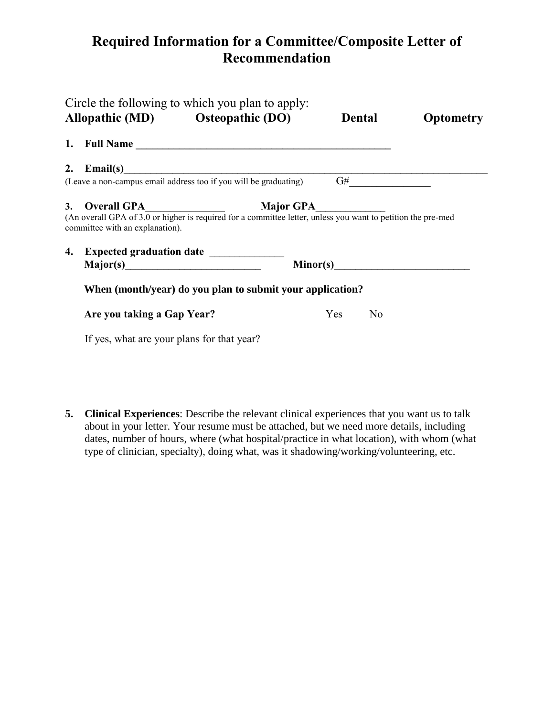## **Required Information for a Committee/Composite Letter of Recommendation**

| Circle the following to which you plan to apply:<br>Allopathic (MD) Osteopathic (DO)                                                                              | <b>Dental</b>    | <b>Optometry</b>                                                                                                                                                                                                                                                                                                                                                                            |  |  |
|-------------------------------------------------------------------------------------------------------------------------------------------------------------------|------------------|---------------------------------------------------------------------------------------------------------------------------------------------------------------------------------------------------------------------------------------------------------------------------------------------------------------------------------------------------------------------------------------------|--|--|
|                                                                                                                                                                   |                  |                                                                                                                                                                                                                                                                                                                                                                                             |  |  |
| 2. Email(s)                                                                                                                                                       |                  |                                                                                                                                                                                                                                                                                                                                                                                             |  |  |
| (Leave a non-campus email address too if you will be graduating)                                                                                                  |                  | $\begin{picture}(150,10) \put(0,0){\dashbox{0.5}(10,0){ }} \put(15,0){\circle{10}} \put(15,0){\circle{10}} \put(15,0){\circle{10}} \put(15,0){\circle{10}} \put(15,0){\circle{10}} \put(15,0){\circle{10}} \put(15,0){\circle{10}} \put(15,0){\circle{10}} \put(15,0){\circle{10}} \put(15,0){\circle{10}} \put(15,0){\circle{10}} \put(15,0){\circle{10}} \put(15,0){\circle{10}} \put(15$ |  |  |
| 3. Overall GPA<br>(An overall GPA of 3.0 or higher is required for a committee letter, unless you want to petition the pre-med<br>committee with an explanation). | <b>Major GPA</b> |                                                                                                                                                                                                                                                                                                                                                                                             |  |  |
|                                                                                                                                                                   |                  |                                                                                                                                                                                                                                                                                                                                                                                             |  |  |
|                                                                                                                                                                   |                  |                                                                                                                                                                                                                                                                                                                                                                                             |  |  |
| When (month/year) do you plan to submit your application?                                                                                                         |                  |                                                                                                                                                                                                                                                                                                                                                                                             |  |  |
| Are you taking a Gap Year?                                                                                                                                        | Yes              | N <sub>o</sub>                                                                                                                                                                                                                                                                                                                                                                              |  |  |
| If yes, what are your plans for that year?                                                                                                                        |                  |                                                                                                                                                                                                                                                                                                                                                                                             |  |  |

**5. Clinical Experiences**: Describe the relevant clinical experiences that you want us to talk about in your letter. Your resume must be attached, but we need more details, including dates, number of hours, where (what hospital/practice in what location), with whom (what type of clinician, specialty), doing what, was it shadowing/working/volunteering, etc.